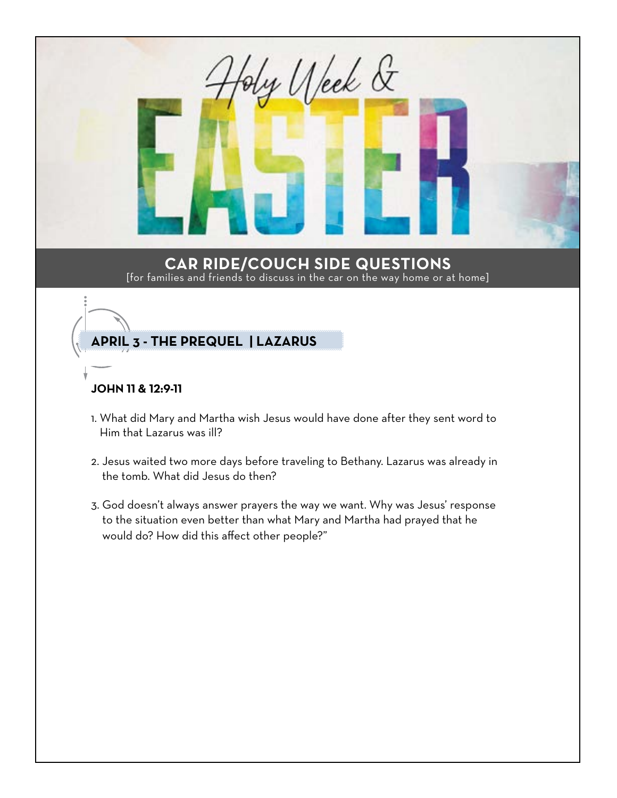

- 1. What did Mary and Martha wish Jesus would have done after they sent word to Him that Lazarus was ill?
- 2. Jesus waited two more days before traveling to Bethany. Lazarus was already in the tomb. What did Jesus do then?
- 3. God doesn't always answer prayers the way we want. Why was Jesus' response to the situation even better than what Mary and Martha had prayed that he would do? How did this affect other people?"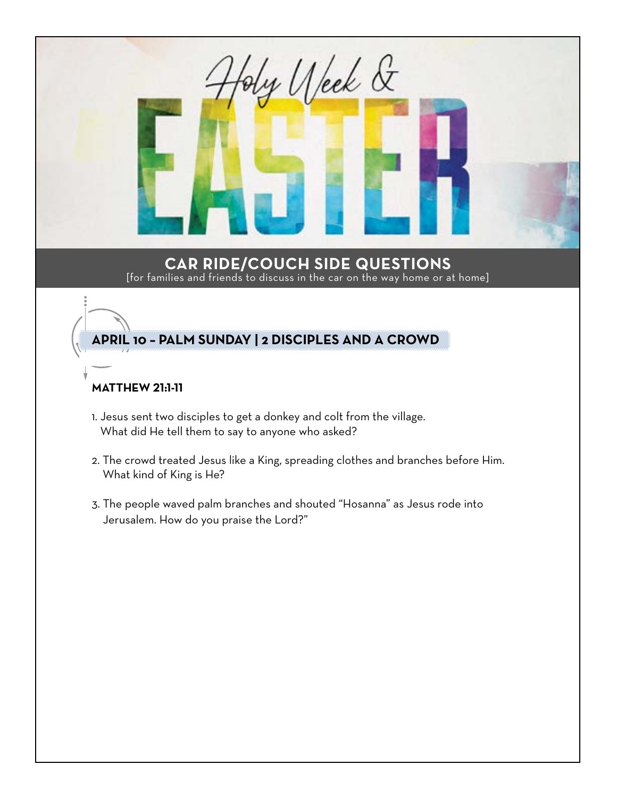

- 2. The crowd treated Jesus like a King, spreading clothes and branches before Him. What kind of King is He?
- 3. The people waved palm branches and shouted "Hosanna" as Jesus rode into Jerusalem. How do you praise the Lord?"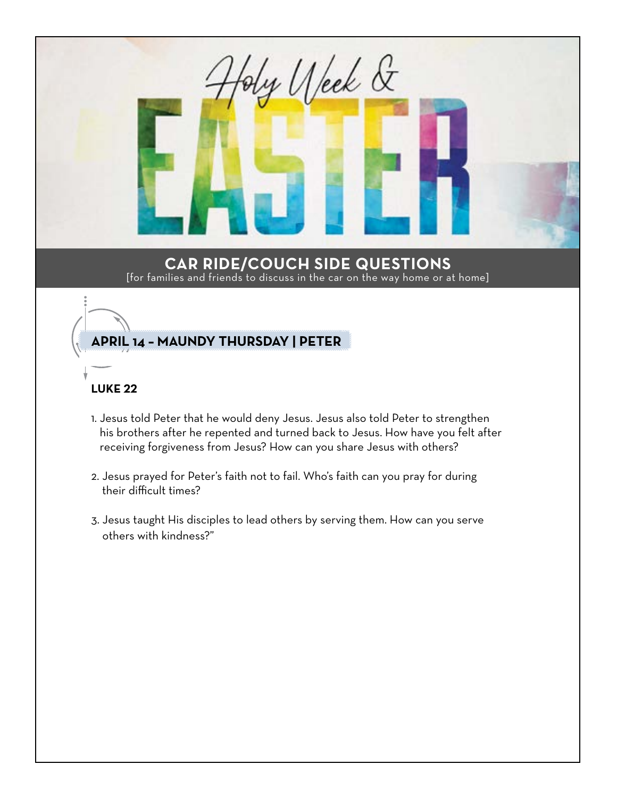

## **LUKE 22**

- 1. Jesus told Peter that he would deny Jesus. Jesus also told Peter to strengthen his brothers after he repented and turned back to Jesus. How have you felt after receiving forgiveness from Jesus? How can you share Jesus with others?
- 2. Jesus prayed for Peter's faith not to fail. Who's faith can you pray for during their difficult times?
- 3. Jesus taught His disciples to lead others by serving them. How can you serve others with kindness?"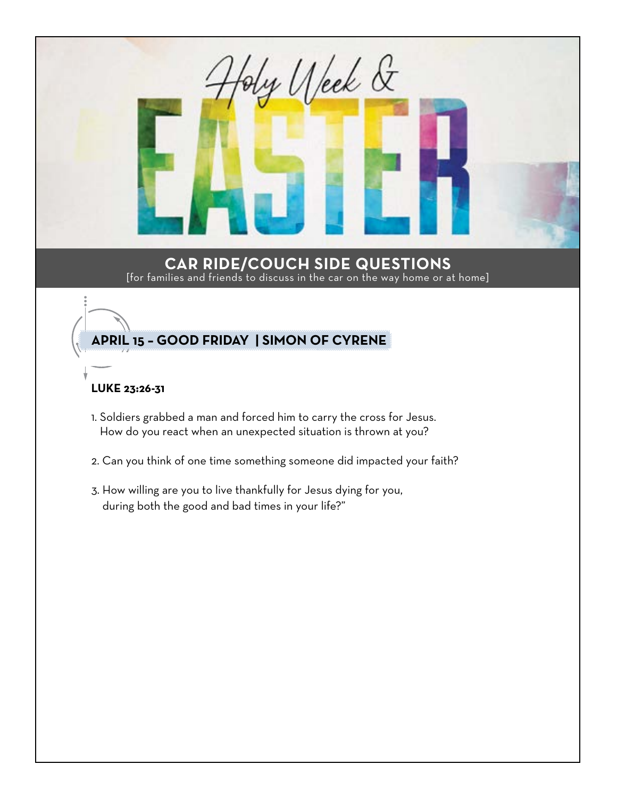

- How do you react when an unexpected situation is thrown at you?
- 2. Can you think of one time something someone did impacted your faith?
- 3. How willing are you to live thankfully for Jesus dying for you, during both the good and bad times in your life?"